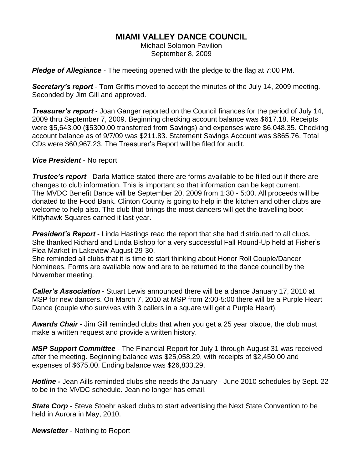# **MIAMI VALLEY DANCE COUNCIL**

Michael Solomon Pavilion September 8, 2009

*Pledge of Allegiance* - The meeting opened with the pledge to the flag at 7:00 PM.

*Secretary's report* - Tom Griffis moved to accept the minutes of the July 14, 2009 meeting. Seconded by Jim Gill and approved.

*Treasurer's report* - Joan Ganger reported on the Council finances for the period of July 14, 2009 thru September 7, 2009. Beginning checking account balance was \$617.18. Receipts were \$5,643.00 (\$5300.00 transferred from Savings) and expenses were \$6,048.35. Checking account balance as of 9/7/09 was \$211.83. Statement Savings Account was \$865.76. Total CDs were \$60,967.23. The Treasurer's Report will be filed for audit.

### *Vice President* - No report

*Trustee's report* - Darla Mattice stated there are forms available to be filled out if there are changes to club information. This is important so that information can be kept current. The MVDC Benefit Dance will be September 20, 2009 from 1:30 - 5:00. All proceeds will be donated to the Food Bank. Clinton County is going to help in the kitchen and other clubs are welcome to help also. The club that brings the most dancers will get the travelling boot - Kittyhawk Squares earned it last year.

**President's Report** - Linda Hastings read the report that she had distributed to all clubs. She thanked Richard and Linda Bishop for a very successful Fall Round-Up held at Fisher's Flea Market in Lakeview August 29-30.

She reminded all clubs that it is time to start thinking about Honor Roll Couple/Dancer Nominees. Forms are available now and are to be returned to the dance council by the November meeting.

*Caller's Association* - Stuart Lewis announced there will be a dance January 17, 2010 at MSP for new dancers. On March 7, 2010 at MSP from 2:00-5:00 there will be a Purple Heart Dance (couple who survives with 3 callers in a square will get a Purple Heart).

*Awards Chair -* Jim Gill reminded clubs that when you get a 25 year plaque, the club must make a written request and provide a written history.

*MSP Support Committee* - The Financial Report for July 1 through August 31 was received after the meeting. Beginning balance was \$25,058.29, with receipts of \$2,450.00 and expenses of \$675.00. Ending balance was \$26,833.29.

*Hotline -* Jean Aills reminded clubs she needs the January - June 2010 schedules by Sept. 22 to be in the MVDC schedule. Jean no longer has email.

**State Corp** - Steve Stoehr asked clubs to start advertising the Next State Convention to be held in Aurora in May, 2010.

*Newsletter* - Nothing to Report